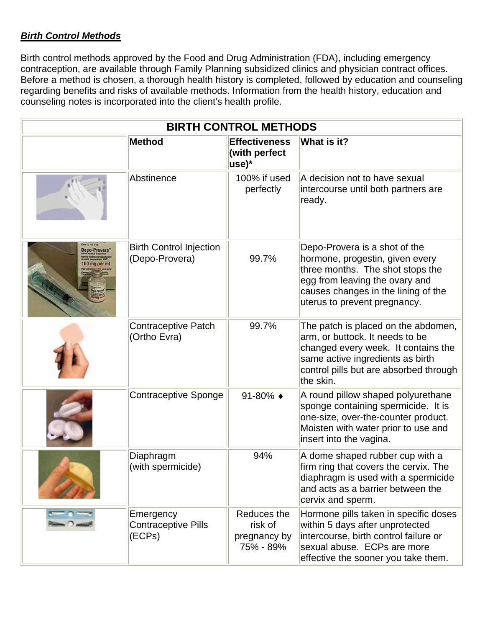## *Birth Control Methods*

Birth control methods approved by the Food and Drug Administration (FDA), including emergency contraception, are available through Family Planning subsidized clinics and physician contract offices. Before a method is chosen, a thorough health history is completed, followed by education and counseling regarding benefits and risks of available methods. Information from the health history, education and counseling notes is incorporated into the client's health profile.

| <b>BIRTH CONTROL METHODS</b>           |                                                   |                                                     |                                                                                                                                                                                                               |  |  |  |
|----------------------------------------|---------------------------------------------------|-----------------------------------------------------|---------------------------------------------------------------------------------------------------------------------------------------------------------------------------------------------------------------|--|--|--|
|                                        | <b>Method</b>                                     | <b>Effectiveness</b><br>(with perfect<br>use)*      | What is it?                                                                                                                                                                                                   |  |  |  |
|                                        | Abstinence                                        | 100% if used<br>perfectly                           | A decision not to have sexual<br>intercourse until both partners are<br>ready.                                                                                                                                |  |  |  |
| <b>Only 5 Ins Wal</b><br>Depo-Provera" | <b>Birth Control Injection</b><br>(Depo-Provera)  | 99.7%                                               | Depo-Provera is a shot of the<br>hormone, progestin, given every<br>three months. The shot stops the<br>egg from leaving the ovary and<br>causes changes in the lining of the<br>uterus to prevent pregnancy. |  |  |  |
|                                        | <b>Contraceptive Patch</b><br>(Ortho Evra)        | 99.7%                                               | The patch is placed on the abdomen,<br>arm, or buttock. It needs to be<br>changed every week. It contains the<br>same active ingredients as birth<br>control pills but are absorbed through<br>the skin.      |  |  |  |
|                                        | Contraceptive Sponge                              | 91-80% $\triangleleft$                              | A round pillow shaped polyurethane<br>sponge containing spermicide. It is<br>one-size, over-the-counter product.<br>Moisten with water prior to use and<br>insert into the vagina.                            |  |  |  |
|                                        | Diaphragm<br>(with spermicide)                    | 94%                                                 | A dome shaped rubber cup with a<br>firm ring that covers the cervix. The<br>diaphragm is used with a spermicide<br>and acts as a barrier between the<br>cervix and sperm.                                     |  |  |  |
|                                        | Emergency<br><b>Contraceptive Pills</b><br>(ECPs) | Reduces the<br>risk of<br>pregnancy by<br>75% - 89% | Hormone pills taken in specific doses<br>within 5 days after unprotected<br>intercourse, birth control failure or<br>sexual abuse. ECPs are more<br>effective the sooner you take them.                       |  |  |  |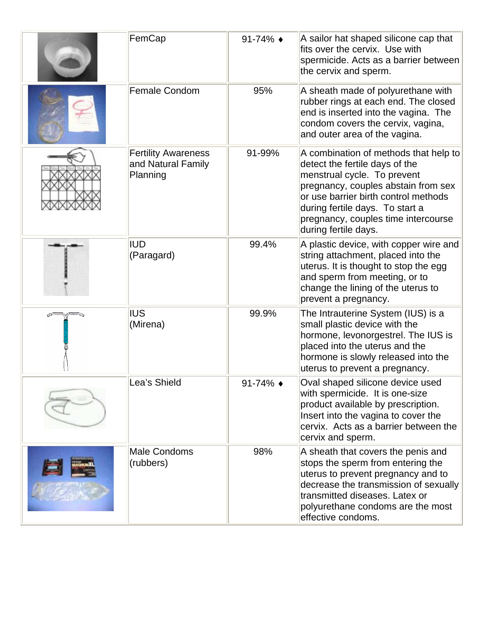| FemCap                                                       | 91-74% $\bullet$ | A sailor hat shaped silicone cap that<br>fits over the cervix. Use with<br>spermicide. Acts as a barrier between<br>the cervix and sperm.                                                                                                                                               |
|--------------------------------------------------------------|------------------|-----------------------------------------------------------------------------------------------------------------------------------------------------------------------------------------------------------------------------------------------------------------------------------------|
| <b>Female Condom</b>                                         | 95%              | A sheath made of polyurethane with<br>rubber rings at each end. The closed<br>end is inserted into the vagina. The<br>condom covers the cervix, vagina,<br>and outer area of the vagina.                                                                                                |
| <b>Fertility Awareness</b><br>and Natural Family<br>Planning | 91-99%           | A combination of methods that help to<br>detect the fertile days of the<br>menstrual cycle. To prevent<br>pregnancy, couples abstain from sex<br>or use barrier birth control methods<br>during fertile days. To start a<br>pregnancy, couples time intercourse<br>during fertile days. |
| <b>IUD</b><br>(Paragard)                                     | 99.4%            | A plastic device, with copper wire and<br>string attachment, placed into the<br>uterus. It is thought to stop the egg<br>and sperm from meeting, or to<br>change the lining of the uterus to<br>prevent a pregnancy.                                                                    |
| <b>IUS</b><br>(Mirena)                                       | 99.9%            | The Intrauterine System (IUS) is a<br>small plastic device with the<br>hormone, levonorgestrel. The IUS is<br>placed into the uterus and the<br>hormone is slowly released into the<br>uterus to prevent a pregnancy.                                                                   |
| Lea's Shield                                                 | 91-74% $\bullet$ | Oval shaped silicone device used<br>with spermicide. It is one-size<br>product available by prescription.<br>Insert into the vagina to cover the<br>cervix. Acts as a barrier between the<br>cervix and sperm.                                                                          |
| Male Condoms<br>(rubbers)                                    | 98%              | A sheath that covers the penis and<br>stops the sperm from entering the<br>uterus to prevent pregnancy and to<br>decrease the transmission of sexually<br>transmitted diseases. Latex or<br>polyurethane condoms are the most<br>effective condoms.                                     |